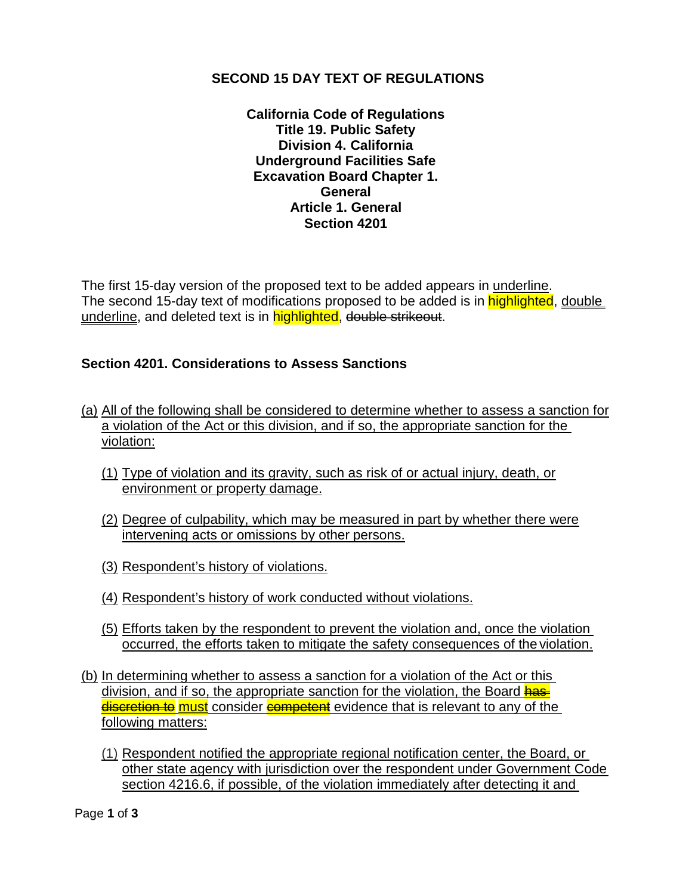## **SECOND 15 DAY TEXT OF REGULATIONS**

**California Code of Regulations Title 19. Public Safety Division 4. California Underground Facilities Safe Excavation Board Chapter 1. General Article 1. General Section 4201**

The first 15-day version of the proposed text to be added appears in underline. The second 15-day text of modifications proposed to be added is in highlighted, double underline, and deleted text is in highlighted, double strikeout.

## **Section 4201. Considerations to Assess Sanctions**

- (a) All of the following shall be considered to determine whether to assess a sanction for a violation of the Act or this division, and if so, the appropriate sanction for the violation:
	- (1) Type of violation and its gravity, such as risk of or actual injury, death, or environment or property damage.
	- (2) Degree of culpability, which may be measured in part by whether there were intervening acts or omissions by other persons.
	- (3) Respondent's history of violations.
	- (4) Respondent's history of work conducted without violations.
	- (5) Efforts taken by the respondent to prevent the violation and, once the violation occurred, the efforts taken to mitigate the safety consequences of the violation.
- (b) In determining whether to assess a sanction for a violation of the Act or this division, and if so, the appropriate sanction for the violation, the Board has discretion to must consider competent evidence that is relevant to any of the following matters:
	- (1) Respondent notified the appropriate regional notification center, the Board, or other state agency with jurisdiction over the respondent under Government Code section 4216.6, if possible, of the violation immediately after detecting it and

Page **1** of **3**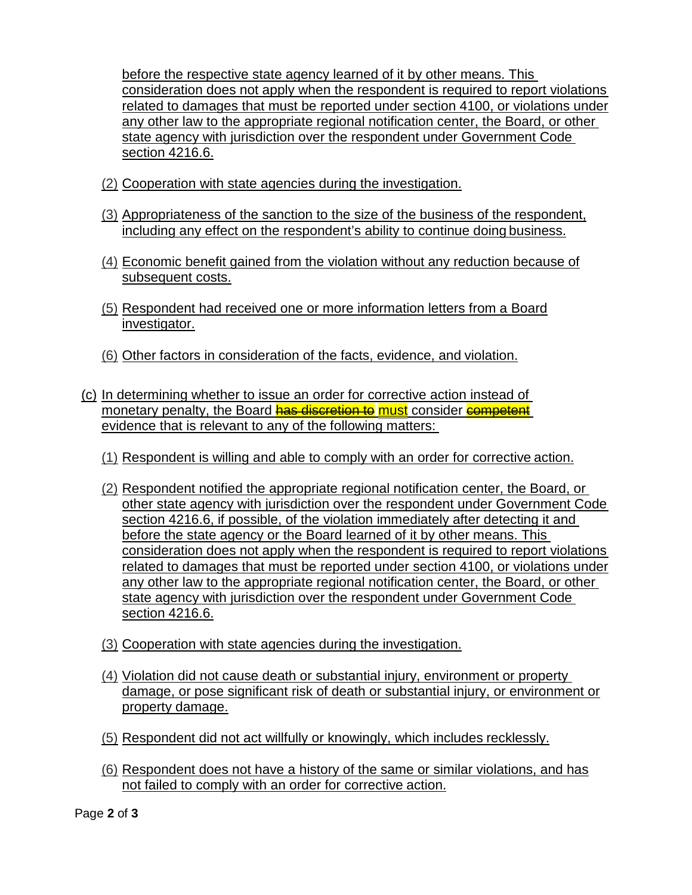before the respective state agency learned of it by other means. This consideration does not apply when the respondent is required to report violations related to damages that must be reported under section 4100, or violations under any other law to the appropriate regional notification center, the Board, or other state agency with jurisdiction over the respondent under Government Code section 4216.6.

- (2) Cooperation with state agencies during the investigation.
- (3) Appropriateness of the sanction to the size of the business of the respondent, including any effect on the respondent's ability to continue doing business.
- (4) Economic benefit gained from the violation without any reduction because of subsequent costs.
- (5) Respondent had received one or more information letters from a Board investigator.
- (6) Other factors in consideration of the facts, evidence, and violation.
- (c) In determining whether to issue an order for corrective action instead of monetary penalty, the Board has discretion to must consider competent evidence that is relevant to any of the following matters:
	- (1) Respondent is willing and able to comply with an order for corrective action.
	- (2) Respondent notified the appropriate regional notification center, the Board, or other state agency with jurisdiction over the respondent under Government Code section 4216.6, if possible, of the violation immediately after detecting it and before the state agency or the Board learned of it by other means. This consideration does not apply when the respondent is required to report violations related to damages that must be reported under section 4100, or violations under any other law to the appropriate regional notification center, the Board, or other state agency with jurisdiction over the respondent under Government Code section 4216.6.
	- (3) Cooperation with state agencies during the investigation.
	- (4) Violation did not cause death or substantial injury, environment or property damage, or pose significant risk of death or substantial injury, or environment or property damage.
	- (5) Respondent did not act willfully or knowingly, which includes recklessly.
	- (6) Respondent does not have a history of the same or similar violations, and has not failed to comply with an order for corrective action.